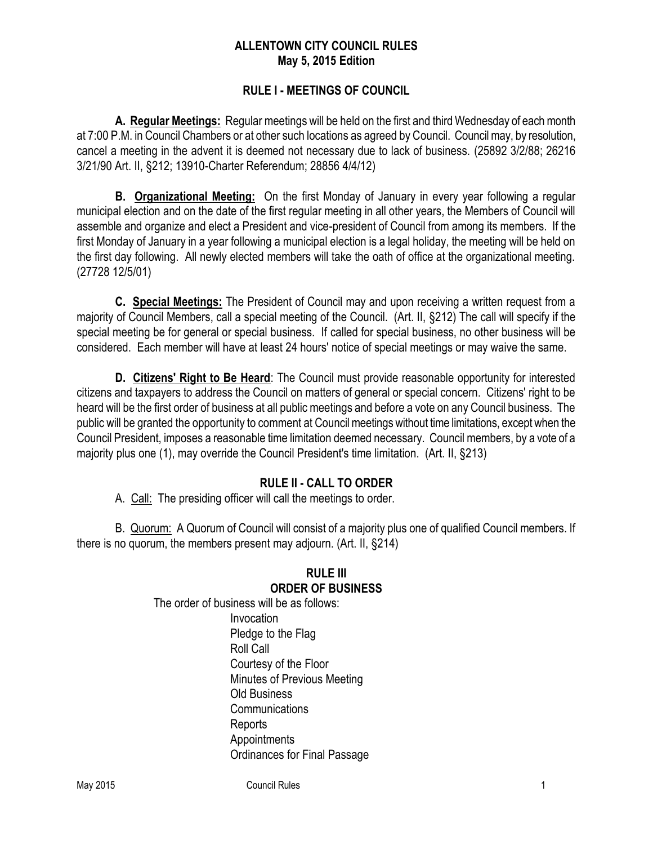#### **ALLENTOWN CITY COUNCIL RULES May 5, 2015 Edition**

#### **RULE I - MEETINGS OF COUNCIL**

**A. Regular Meetings:** Regular meetings will be held on the first and third Wednesday of each month at 7:00 P.M. in Council Chambers or at other such locations as agreed by Council. Councilmay, by resolution, cancel a meeting in the advent it is deemed not necessary due to lack of business. (25892 3/2/88; 26216 3/21/90 Art. II, §212; 13910-Charter Referendum; 28856 4/4/12)

**B. Organizational Meeting:** On the first Monday of January in every year following a regular municipal election and on the date of the first regular meeting in all other years, the Members of Council will assemble and organize and elect a President and vice-president of Council from among its members. If the first Monday of January in a year following a municipal election is a legal holiday, the meeting will be held on the first day following. All newly elected members will take the oath of office at the organizational meeting. (27728 12/5/01)

**C. Special Meetings:** The President of Council may and upon receiving a written request from a majority of Council Members, call a special meeting of the Council. (Art. II, §212) The call will specify if the special meeting be for general or special business. If called for special business, no other business will be considered. Each member will have at least 24 hours' notice of special meetings or may waive the same.

**D. Citizens' Right to Be Heard**: The Council must provide reasonable opportunity for interested citizens and taxpayers to address the Council on matters of general or special concern. Citizens' right to be heard will be the first order of business at all public meetings and before a vote on any Council business. The public will be granted the opportunity to comment at Council meetings without time limitations, except when the Council President, imposes a reasonable time limitation deemed necessary. Council members, by a vote of a majority plus one (1), may override the Council President's time limitation. (Art. II, §213)

## **RULE II - CALL TO ORDER**

A. Call: The presiding officer will call the meetings to order.

B. Quorum: A Quorum of Council will consist of a majority plus one of qualified Council members. If there is no quorum, the members present may adjourn. (Art. II, §214)

#### **RULE III ORDER OF BUSINESS**

The order of business will be as follows: Invocation Pledge to the Flag Roll Call Courtesy of the Floor Minutes of Previous Meeting Old Business **Communications Reports** Appointments Ordinances for Final Passage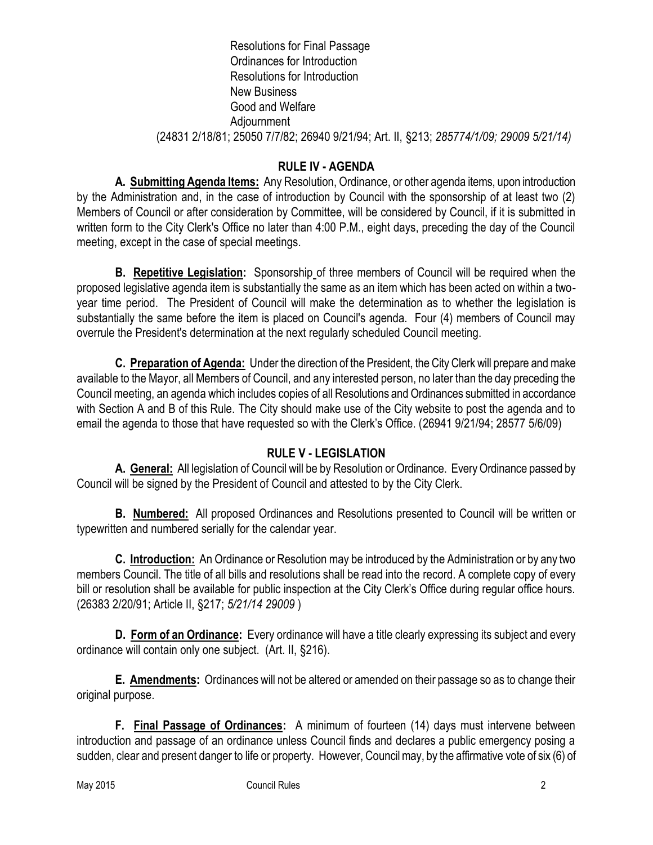#### Resolutions for Final Passage Ordinances for Introduction Resolutions for Introduction New Business Good and Welfare Adjournment (24831 2/18/81; 25050 7/7/82; 26940 9/21/94; Art. II, §213; *285774/1/09; 29009 5/21/14)*

# **RULE IV - AGENDA**

**A. Submitting Agenda Items:** Any Resolution, Ordinance, or other agenda items, upon introduction by the Administration and, in the case of introduction by Council with the sponsorship of at least two (2) Members of Council or after consideration by Committee, will be considered by Council, if it is submitted in written form to the City Clerk's Office no later than 4:00 P.M., eight days, preceding the day of the Council meeting, except in the case of special meetings.

**B. Repetitive Legislation:** Sponsorship of three members of Council will be required when the proposed legislative agenda item is substantially the same as an item which has been acted on within a twoyear time period. The President of Council will make the determination as to whether the legislation is substantially the same before the item is placed on Council's agenda. Four (4) members of Council may overrule the President's determination at the next regularly scheduled Council meeting.

**C. Preparation of Agenda:** Under the direction of the President, the City Clerk will prepare and make available to the Mayor, all Members of Council, and any interested person, no later than the day preceding the Council meeting, an agenda which includes copies of all Resolutions and Ordinances submitted in accordance with Section A and B of this Rule. The City should make use of the City website to post the agenda and to email the agenda to those that have requested so with the Clerk's Office. (26941 9/21/94; 28577 5/6/09)

## **RULE V - LEGISLATION**

**A. General:** All legislation of Council will be by Resolution or Ordinance. Every Ordinance passed by Council will be signed by the President of Council and attested to by the City Clerk.

**B. Numbered:** All proposed Ordinances and Resolutions presented to Council will be written or typewritten and numbered serially for the calendar year.

**C. Introduction:** An Ordinance or Resolution may be introduced by the Administration or by any two members Council. The title of all bills and resolutions shall be read into the record. A complete copy of every bill or resolution shall be available for public inspection at the City Clerk's Office during regular office hours. (26383 2/20/91; Article II, §217; *5/21/14 29009* )

**D. Form of an Ordinance:** Every ordinance will have a title clearly expressing its subject and every ordinance will contain only one subject. (Art. II, §216).

**E. Amendments:** Ordinances will not be altered or amended on their passage so as to change their original purpose.

**F. Final Passage of Ordinances:** A minimum of fourteen (14) days must intervene between introduction and passage of an ordinance unless Council finds and declares a public emergency posing a sudden, clear and present danger to life or property. However, Council may, by the affirmative vote of six (6) of

May 2015 **Council Rules** 2008 **Council Rules** 2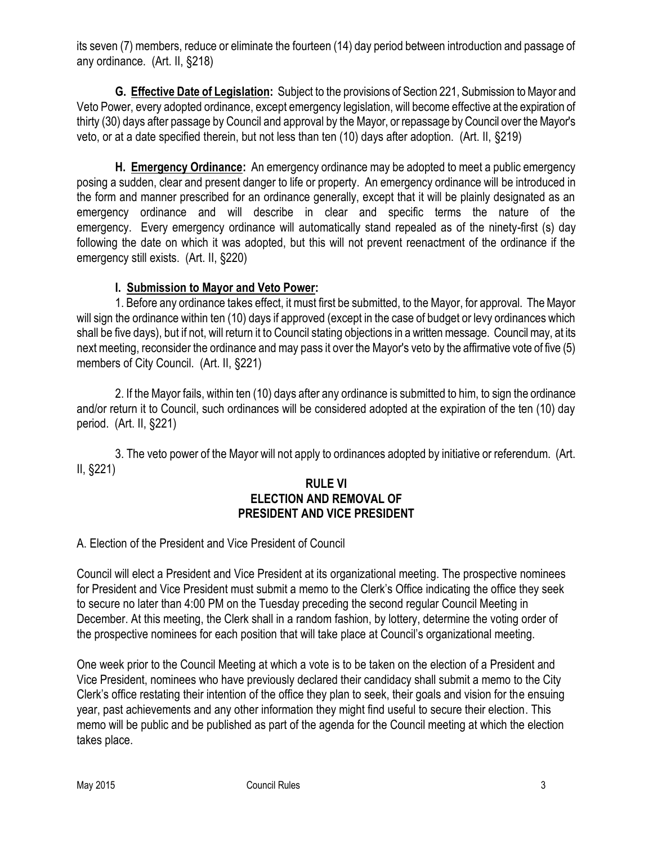its seven (7) members, reduce or eliminate the fourteen (14) day period between introduction and passage of any ordinance. (Art. II, §218)

**G. Effective Date of Legislation:** Subject to the provisions of Section 221, Submission to Mayor and Veto Power, every adopted ordinance, except emergency legislation, will become effective at the expiration of thirty (30) days after passage by Council and approval by the Mayor, or repassage by Council over the Mayor's veto, or at a date specified therein, but not less than ten (10) days after adoption. (Art. II, §219)

**H. Emergency Ordinance:** An emergency ordinance may be adopted to meet a public emergency posing a sudden, clear and present danger to life or property. An emergency ordinance will be introduced in the form and manner prescribed for an ordinance generally, except that it will be plainly designated as an emergency ordinance and will describe in clear and specific terms the nature of the emergency. Every emergency ordinance will automatically stand repealed as of the ninety-first (s) day following the date on which it was adopted, but this will not prevent reenactment of the ordinance if the emergency still exists. (Art. II, §220)

#### **I. Submission to Mayor and Veto Power:**

1. Before any ordinance takes effect, it must first be submitted, to the Mayor, for approval. The Mayor will sign the ordinance within ten (10) days if approved (except in the case of budget or levy ordinances which shall be five days), but if not, will return it to Council stating objections in a written message. Council may, at its next meeting, reconsider the ordinance and may pass it over the Mayor's veto by the affirmative vote of five (5) members of City Council. (Art. II, §221)

2. If the Mayor fails, within ten (10) days after any ordinance is submitted to him, to sign the ordinance and/or return it to Council, such ordinances will be considered adopted at the expiration of the ten (10) day period. (Art. II, §221)

3. The veto power of the Mayor will not apply to ordinances adopted by initiative or referendum. (Art. II, §221)

#### **RULE VI ELECTION AND REMOVAL OF PRESIDENT AND VICE PRESIDENT**

## A. Election of the President and Vice President of Council

Council will elect a President and Vice President at its organizational meeting. The prospective nominees for President and Vice President must submit a memo to the Clerk's Office indicating the office they seek to secure no later than 4:00 PM on the Tuesday preceding the second regular Council Meeting in December. At this meeting, the Clerk shall in a random fashion, by lottery, determine the voting order of the prospective nominees for each position that will take place at Council's organizational meeting.

One week prior to the Council Meeting at which a vote is to be taken on the election of a President and Vice President, nominees who have previously declared their candidacy shall submit a memo to the City Clerk's office restating their intention of the office they plan to seek, their goals and vision for the ensuing year, past achievements and any other information they might find useful to secure their election. This memo will be public and be published as part of the agenda for the Council meeting at which the election takes place.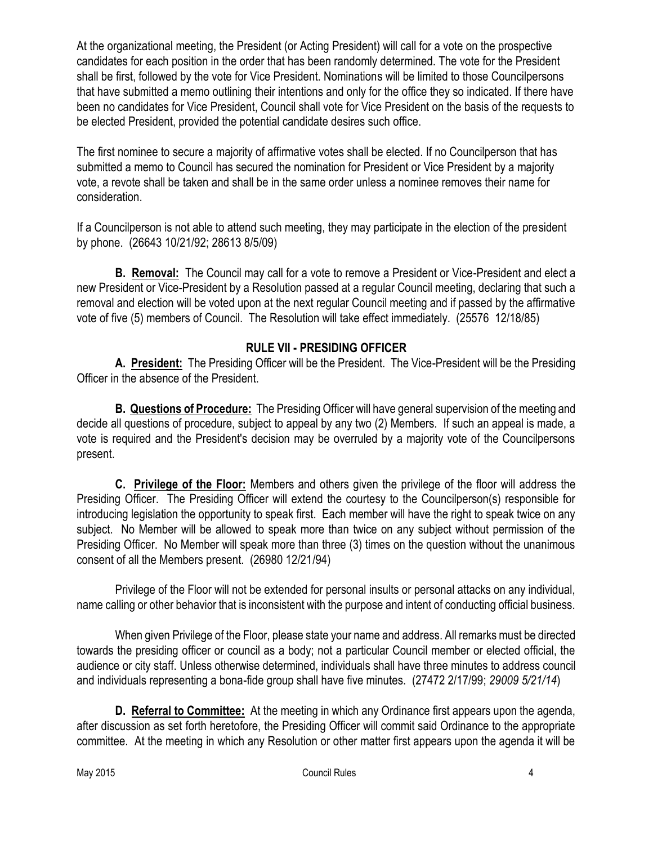At the organizational meeting, the President (or Acting President) will call for a vote on the prospective candidates for each position in the order that has been randomly determined. The vote for the President shall be first, followed by the vote for Vice President. Nominations will be limited to those Councilpersons that have submitted a memo outlining their intentions and only for the office they so indicated. If there have been no candidates for Vice President, Council shall vote for Vice President on the basis of the requests to be elected President, provided the potential candidate desires such office.

The first nominee to secure a majority of affirmative votes shall be elected. If no Councilperson that has submitted a memo to Council has secured the nomination for President or Vice President by a majority vote, a revote shall be taken and shall be in the same order unless a nominee removes their name for consideration.

If a Councilperson is not able to attend such meeting, they may participate in the election of the president by phone. (26643 10/21/92; 28613 8/5/09)

**B. Removal:** The Council may call for a vote to remove a President or Vice-President and elect a new President or Vice-President by a Resolution passed at a regular Council meeting, declaring that such a removal and election will be voted upon at the next regular Council meeting and if passed by the affirmative vote of five (5) members of Council. The Resolution will take effect immediately. (25576 12/18/85)

## **RULE VII - PRESIDING OFFICER**

**A. President:** The Presiding Officer will be the President. The Vice-President will be the Presiding Officer in the absence of the President.

**B. Questions of Procedure:** The Presiding Officer will have general supervision of the meeting and decide all questions of procedure, subject to appeal by any two (2) Members. If such an appeal is made, a vote is required and the President's decision may be overruled by a majority vote of the Councilpersons present.

**C. Privilege of the Floor:** Members and others given the privilege of the floor will address the Presiding Officer. The Presiding Officer will extend the courtesy to the Councilperson(s) responsible for introducing legislation the opportunity to speak first. Each member will have the right to speak twice on any subject. No Member will be allowed to speak more than twice on any subject without permission of the Presiding Officer. No Member will speak more than three (3) times on the question without the unanimous consent of all the Members present. (26980 12/21/94)

Privilege of the Floor will not be extended for personal insults or personal attacks on any individual, name calling or other behavior that is inconsistent with the purpose and intent of conducting official business.

When given Privilege of the Floor, please state your name and address. All remarks must be directed towards the presiding officer or council as a body; not a particular Council member or elected official, the audience or city staff. Unless otherwise determined, individuals shall have three minutes to address council and individuals representing a bona-fide group shall have five minutes. (27472 2/17/99; *29009 5/21/14*)

**D. Referral to Committee:** At the meeting in which any Ordinance first appears upon the agenda, after discussion as set forth heretofore, the Presiding Officer will commit said Ordinance to the appropriate committee. At the meeting in which any Resolution or other matter first appears upon the agenda it will be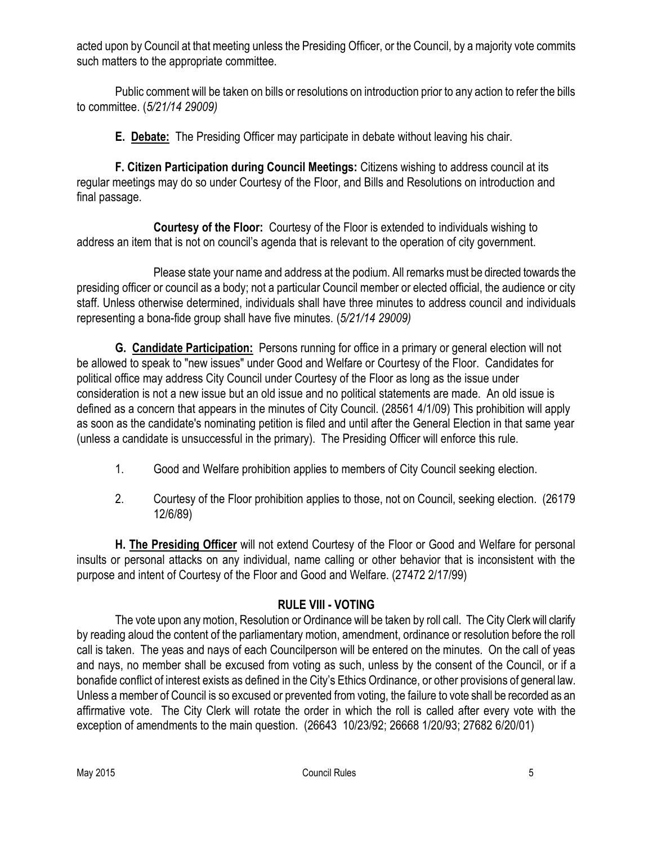acted upon by Council at that meeting unless the Presiding Officer, or the Council, by a majority vote commits such matters to the appropriate committee.

Public comment will be taken on bills or resolutions on introduction prior to any action to refer the bills to committee. (*5/21/14 29009)*

**E. Debate:** The Presiding Officer may participate in debate without leaving his chair.

**F. Citizen Participation during Council Meetings:** Citizens wishing to address council at its regular meetings may do so under Courtesy of the Floor, and Bills and Resolutions on introduction and final passage.

**Courtesy of the Floor:** Courtesy of the Floor is extended to individuals wishing to address an item that is not on council's agenda that is relevant to the operation of city government.

Please state your name and address at the podium. All remarks must be directed towards the presiding officer or council as a body; not a particular Council member or elected official, the audience or city staff. Unless otherwise determined, individuals shall have three minutes to address council and individuals representing a bona-fide group shall have five minutes. (*5/21/14 29009)*

**G. Candidate Participation:** Persons running for office in a primary or general election will not be allowed to speak to "new issues" under Good and Welfare or Courtesy of the Floor. Candidates for political office may address City Council under Courtesy of the Floor as long as the issue under consideration is not a new issue but an old issue and no political statements are made. An old issue is defined as a concern that appears in the minutes of City Council. (28561 4/1/09) This prohibition will apply as soon as the candidate's nominating petition is filed and until after the General Election in that same year (unless a candidate is unsuccessful in the primary). The Presiding Officer will enforce this rule.

- 1. Good and Welfare prohibition applies to members of City Council seeking election.
- 2. Courtesy of the Floor prohibition applies to those, not on Council, seeking election. (26179 12/6/89)

**H. The Presiding Officer** will not extend Courtesy of the Floor or Good and Welfare for personal insults or personal attacks on any individual, name calling or other behavior that is inconsistent with the purpose and intent of Courtesy of the Floor and Good and Welfare. (27472 2/17/99)

# **RULE VIII - VOTING**

The vote upon any motion, Resolution or Ordinance will be taken by roll call. The City Clerk will clarify by reading aloud the content of the parliamentary motion, amendment, ordinance or resolution before the roll call is taken. The yeas and nays of each Councilperson will be entered on the minutes. On the call of yeas and nays, no member shall be excused from voting as such, unless by the consent of the Council, or if a bonafide conflict of interest exists as defined in the City's Ethics Ordinance, or other provisions of general law. Unless a member of Council is so excused or prevented from voting, the failure to vote shall be recorded as an affirmative vote. The City Clerk will rotate the order in which the roll is called after every vote with the exception of amendments to the main question. (26643 10/23/92; 26668 1/20/93; 27682 6/20/01)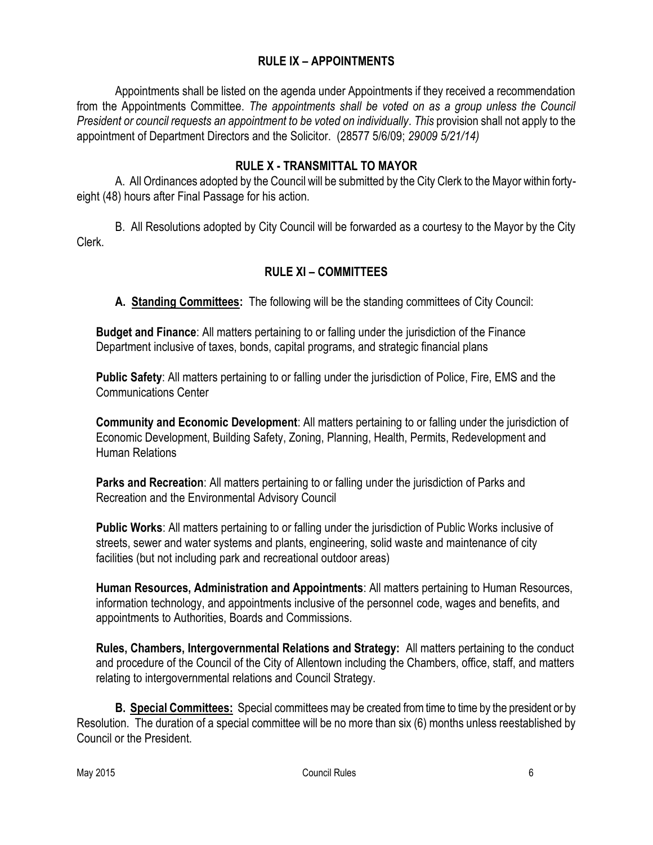## **RULE IX – APPOINTMENTS**

Appointments shall be listed on the agenda under Appointments if they received a recommendation from the Appointments Committee. *The appointments shall be voted on as a group unless the Council President or council requests an appointment to be voted on individually. This* provision shall not apply to the appointment of Department Directors and the Solicitor. (28577 5/6/09; *29009 5/21/14)*

#### **RULE X - TRANSMITTAL TO MAYOR**

A. All Ordinances adopted by the Council will be submitted by the City Clerk to the Mayor within fortyeight (48) hours after Final Passage for his action.

B. All Resolutions adopted by City Council will be forwarded as a courtesy to the Mayor by the City Clerk.

## **RULE XI – COMMITTEES**

**A. Standing Committees:** The following will be the standing committees of City Council:

**Budget and Finance**: All matters pertaining to or falling under the jurisdiction of the Finance Department inclusive of taxes, bonds, capital programs, and strategic financial plans

**Public Safety**: All matters pertaining to or falling under the jurisdiction of Police, Fire, EMS and the Communications Center

**Community and Economic Development**: All matters pertaining to or falling under the jurisdiction of Economic Development, Building Safety, Zoning, Planning, Health, Permits, Redevelopment and Human Relations

**Parks and Recreation**: All matters pertaining to or falling under the jurisdiction of Parks and Recreation and the Environmental Advisory Council

**Public Works**: All matters pertaining to or falling under the jurisdiction of Public Works inclusive of streets, sewer and water systems and plants, engineering, solid waste and maintenance of city facilities (but not including park and recreational outdoor areas)

**Human Resources, Administration and Appointments**: All matters pertaining to Human Resources, information technology, and appointments inclusive of the personnel code, wages and benefits, and appointments to Authorities, Boards and Commissions.

**Rules, Chambers, Intergovernmental Relations and Strategy:** All matters pertaining to the conduct and procedure of the Council of the City of Allentown including the Chambers, office, staff, and matters relating to intergovernmental relations and Council Strategy.

**B. Special Committees:** Special committees may be created from time to time by the president or by Resolution. The duration of a special committee will be no more than six (6) months unless reestablished by Council or the President.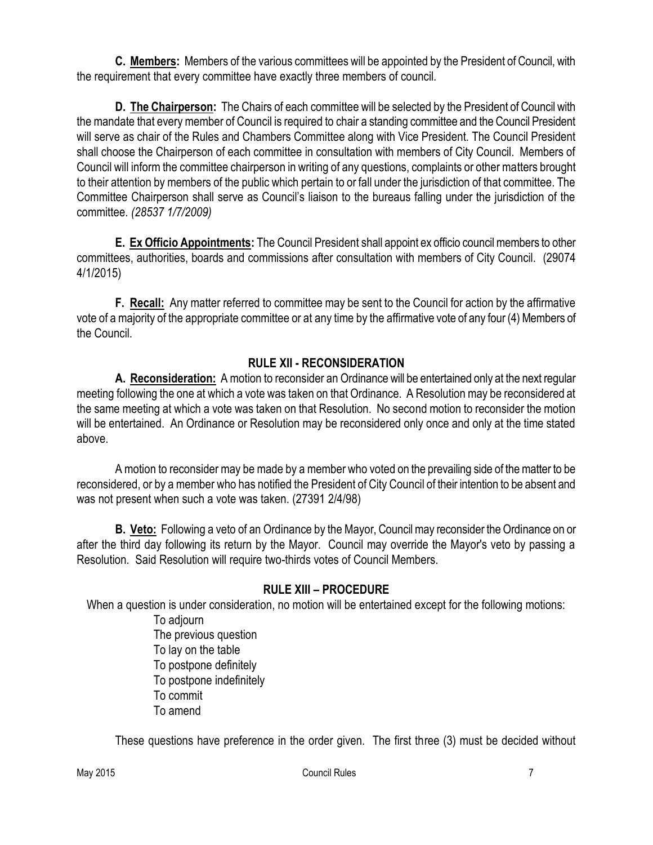**C. Members:** Members of the various committees will be appointed by the President of Council, with the requirement that every committee have exactly three members of council.

**D. The Chairperson:** The Chairs of each committee will be selected by the President of Council with the mandate that every member of Council is required to chair a standing committee and the Council President will serve as chair of the Rules and Chambers Committee along with Vice President. The Council President shall choose the Chairperson of each committee in consultation with members of City Council. Members of Council will inform the committee chairperson in writing of any questions, complaints or other matters brought to their attention by members of the public which pertain to or fall under the jurisdiction of that committee. The Committee Chairperson shall serve as Council's liaison to the bureaus falling under the jurisdiction of the committee. *(28537 1/7/2009)*

**E. Ex Officio Appointments:** The Council President shall appoint ex officio council members to other committees, authorities, boards and commissions after consultation with members of City Council. (29074 4/1/2015)

**F. Recall:** Any matter referred to committee may be sent to the Council for action by the affirmative vote of a majority of the appropriate committee or at any time by the affirmative vote of any four (4) Members of the Council.

## **RULE XII - RECONSIDERATION**

**A. Reconsideration:** A motion to reconsider an Ordinance will be entertained only at the next regular meeting following the one at which a vote was taken on that Ordinance. A Resolution may be reconsidered at the same meeting at which a vote was taken on that Resolution. No second motion to reconsider the motion will be entertained. An Ordinance or Resolution may be reconsidered only once and only at the time stated above.

A motion to reconsider may be made by a member who voted on the prevailing side of the matter to be reconsidered, or by a member who has notified the President of City Council of their intention to be absent and was not present when such a vote was taken. (27391 2/4/98)

**B. Veto:** Following a veto of an Ordinance by the Mayor, Council may reconsider the Ordinance on or after the third day following its return by the Mayor. Council may override the Mayor's veto by passing a Resolution. Said Resolution will require two-thirds votes of Council Members.

## **RULE XIII – PROCEDURE**

When a question is under consideration, no motion will be entertained except for the following motions:

To adjourn The previous question To lay on the table To postpone definitely To postpone indefinitely To commit To amend

These questions have preference in the order given. The first three (3) must be decided without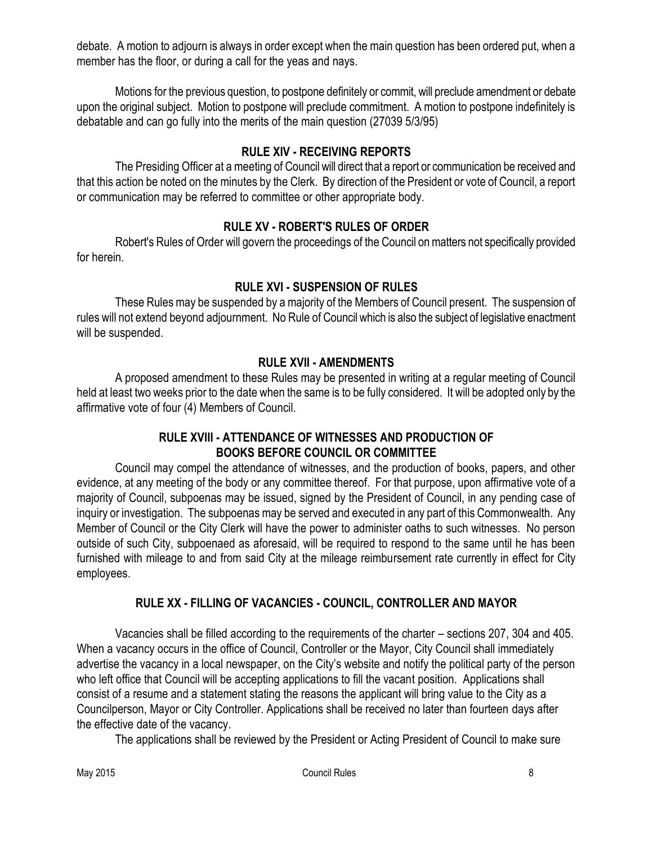debate. A motion to adjourn is always in order except when the main question has been ordered put, when a member has the floor, or during a call for the yeas and nays.

Motions for the previous question, to postpone definitely or commit, will preclude amendment or debate upon the original subject. Motion to postpone will preclude commitment. A motion to postpone indefinitely is debatable and can go fully into the merits of the main question (27039 5/3/95)

# **RULE XIV - RECEIVING REPORTS**

The Presiding Officer at a meeting of Council will direct that a report or communication be received and that this action be noted on the minutes by the Clerk. By direction of the President or vote of Council, a report or communication may be referred to committee or other appropriate body.

## **RULE XV - ROBERT'S RULES OF ORDER**

Robert's Rules of Order will govern the proceedings of the Council on matters not specifically provided for herein.

# **RULE XVI - SUSPENSION OF RULES**

These Rules may be suspended by a majority of the Members of Council present. The suspension of rules will not extend beyond adjournment. No Rule of Council which is also the subject of legislative enactment will be suspended.

## **RULE XVII - AMENDMENTS**

A proposed amendment to these Rules may be presented in writing at a regular meeting of Council held at least two weeks prior to the date when the same is to be fully considered. It will be adopted only by the affirmative vote of four (4) Members of Council.

## **RULE XVIII - ATTENDANCE OF WITNESSES AND PRODUCTION OF BOOKS BEFORE COUNCIL OR COMMITTEE**

Council may compel the attendance of witnesses, and the production of books, papers, and other evidence, at any meeting of the body or any committee thereof. For that purpose, upon affirmative vote of a majority of Council, subpoenas may be issued, signed by the President of Council, in any pending case of inquiry or investigation. The subpoenas may be served and executed in any part of this Commonwealth. Any Member of Council or the City Clerk will have the power to administer oaths to such witnesses. No person outside of such City, subpoenaed as aforesaid, will be required to respond to the same until he has been furnished with mileage to and from said City at the mileage reimbursement rate currently in effect for City employees.

# **RULE XX - FILLING OF VACANCIES - COUNCIL, CONTROLLER AND MAYOR**

Vacancies shall be filled according to the requirements of the charter – sections 207, 304 and 405. When a vacancy occurs in the office of Council, Controller or the Mayor, City Council shall immediately advertise the vacancy in a local newspaper, on the City's website and notify the political party of the person who left office that Council will be accepting applications to fill the vacant position. Applications shall consist of a resume and a statement stating the reasons the applicant will bring value to the City as a Councilperson, Mayor or City Controller. Applications shall be received no later than fourteen days after the effective date of the vacancy.

The applications shall be reviewed by the President or Acting President of Council to make sure